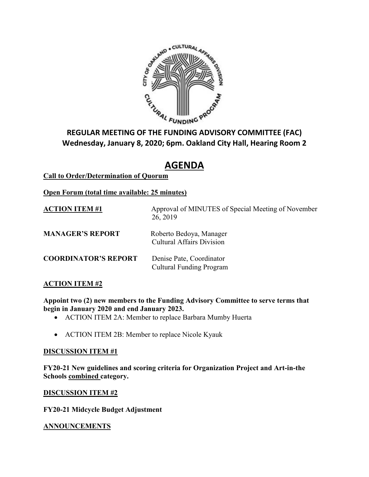

# **Wednesday, January 8, 2020; 6pm. Oakland City Hall, Hearing Room 2**

# **AGENDA**

# **Call to Order/Determination of Quorum**

# **Open Forum (total time available: 25 minutes)**

| <b>ACTION ITEM #1</b>       | Approval of MINUTES of Special Meeting of November<br>26, 2019 |
|-----------------------------|----------------------------------------------------------------|
| <b>MANAGER'S REPORT</b>     | Roberto Bedoya, Manager<br><b>Cultural Affairs Division</b>    |
| <b>COORDINATOR'S REPORT</b> | Denise Pate, Coordinator<br><b>Cultural Funding Program</b>    |

# **ACTION ITEM #2**

**Appoint two (2) new members to the Funding Advisory Committee to serve terms that begin in January 2020 and end January 2023.**

- ACTION ITEM 2A: Member to replace Barbara Mumby Huerta
- ACTION ITEM 2B: Member to replace Nicole Kyauk

#### **DISCUSSION ITEM #1**

**FY20-21 New guidelines and scoring criteria for Organization Project and Art-in-the Schools combined category.**

#### **DISCUSSION ITEM #2**

**FY20-21 Midcycle Budget Adjustment**

#### **ANNOUNCEMENTS**